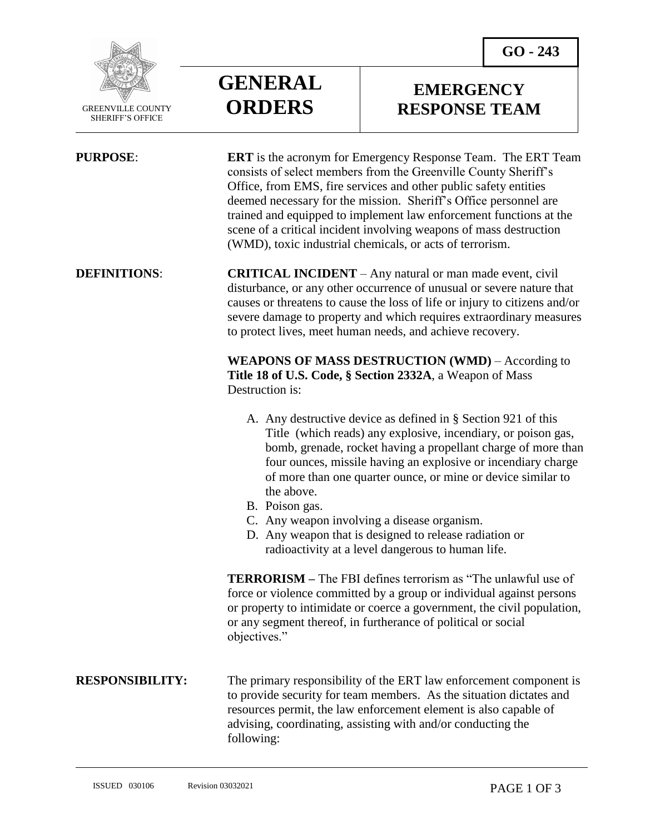**EMERGENCY RESPONSE TEAM**



 GREENVILLE COUNTY SHERIFF'S OFFICE

 $\overline{a}$ 

**PURPOSE: ERT** is the acronym for Emergency Response Team. The ERT Team consists of select members from the Greenville County Sheriff's Office, from EMS, fire services and other public safety entities deemed necessary for the mission. Sheriff's Office personnel are trained and equipped to implement law enforcement functions at the scene of a critical incident involving weapons of mass destruction (WMD), toxic industrial chemicals, or acts of terrorism.

# **DEFINITIONS: CRITICAL INCIDENT** – Any natural or man made event, civil disturbance, or any other occurrence of unusual or severe nature that causes or threatens to cause the loss of life or injury to citizens and/or severe damage to property and which requires extraordinary measures to protect lives, meet human needs, and achieve recovery.

**WEAPONS OF MASS DESTRUCTION (WMD)** – According to **Title 18 of U.S. Code, § Section 2332A**, a Weapon of Mass Destruction is:

- A. Any destructive device as defined in § Section 921 of this Title (which reads) any explosive, incendiary, or poison gas, bomb, grenade, rocket having a propellant charge of more than four ounces, missile having an explosive or incendiary charge of more than one quarter ounce, or mine or device similar to the above.
- B. Poison gas.

**GENERAL**

**ORDERS**

- C. Any weapon involving a disease organism.
- D. Any weapon that is designed to release radiation or radioactivity at a level dangerous to human life.

**TERRORISM –** The FBI defines terrorism as "The unlawful use of force or violence committed by a group or individual against persons or property to intimidate or coerce a government, the civil population, or any segment thereof, in furtherance of political or social objectives."

**RESPONSIBILITY:** The primary responsibility of the ERT law enforcement component is to provide security for team members. As the situation dictates and resources permit, the law enforcement element is also capable of advising, coordinating, assisting with and/or conducting the following: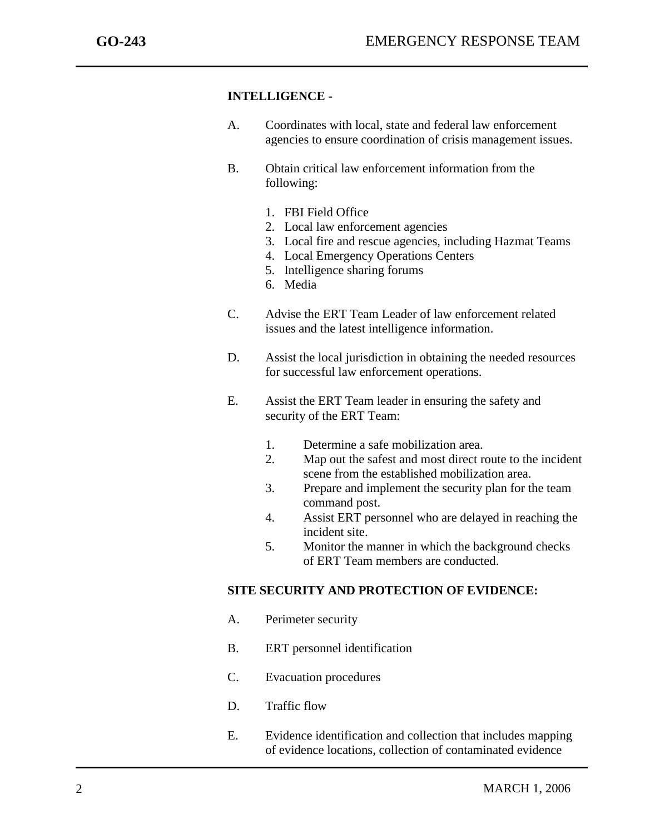j

### **INTELLIGENCE -**

- A. Coordinates with local, state and federal law enforcement agencies to ensure coordination of crisis management issues.
- B. Obtain critical law enforcement information from the following:
	- 1. FBI Field Office
	- 2. Local law enforcement agencies
	- 3. Local fire and rescue agencies, including Hazmat Teams
	- 4. Local Emergency Operations Centers
	- 5. Intelligence sharing forums
	- 6. Media
- C. Advise the ERT Team Leader of law enforcement related issues and the latest intelligence information.
- D. Assist the local jurisdiction in obtaining the needed resources for successful law enforcement operations.
- E. Assist the ERT Team leader in ensuring the safety and security of the ERT Team:
	- 1. Determine a safe mobilization area.
	- 2. Map out the safest and most direct route to the incident scene from the established mobilization area.
	- 3. Prepare and implement the security plan for the team command post.
	- 4. Assist ERT personnel who are delayed in reaching the incident site.
	- 5. Monitor the manner in which the background checks of ERT Team members are conducted.

## **SITE SECURITY AND PROTECTION OF EVIDENCE:**

- A. Perimeter security
- B. ERT personnel identification
- C. Evacuation procedures
- D. Traffic flow
- E. Evidence identification and collection that includes mapping of evidence locations, collection of contaminated evidence